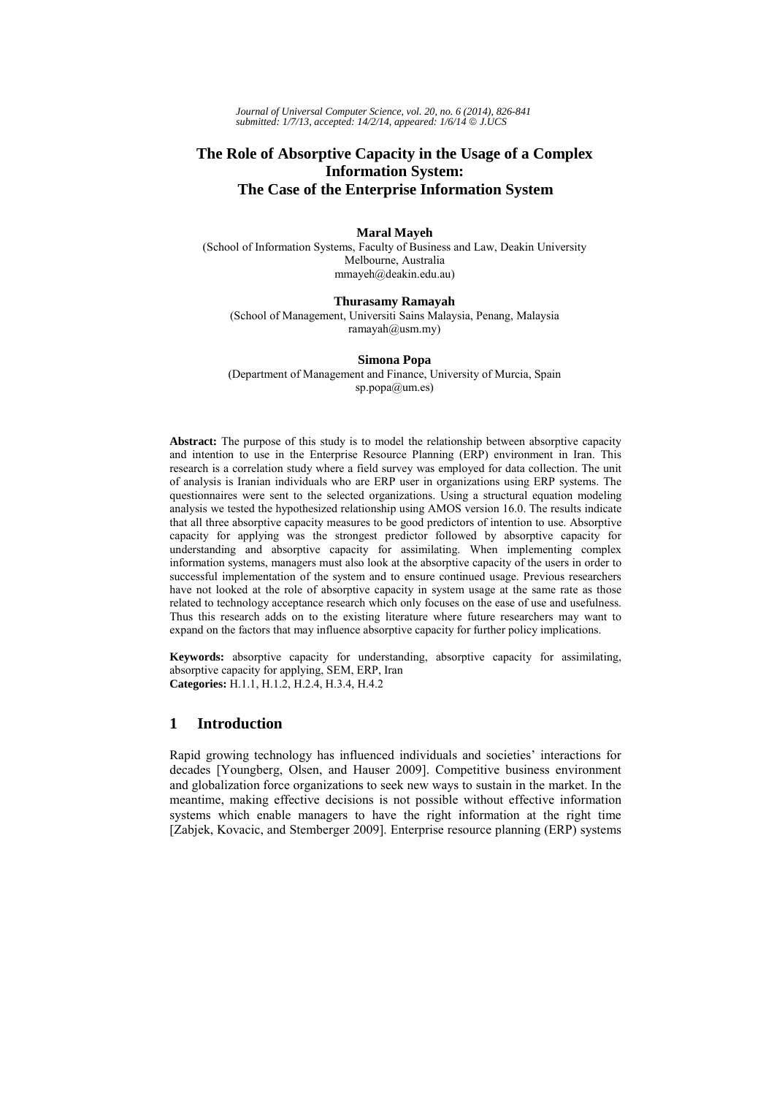*Journal of Universal Computer Science, vol. 20, no. 6 (2014), 826-841 submitted: 1/7/13, accepted: 14/2/14, appeared: 1/6/14* © *J.UCS*

## **The Role of Absorptive Capacity in the Usage of a Complex Information System: The Case of the Enterprise Information System**

#### **Maral Mayeh**

(School of Information Systems, Faculty of Business and Law, Deakin University Melbourne, Australia mmayeh@deakin.edu.au)

#### **Thurasamy Ramayah** (School of Management, Universiti Sains Malaysia, Penang, Malaysia  $ramavah@usm,mv)$

**Simona Popa**

(Department of Management and Finance, University of Murcia, Spain sp.popa@um.es)

**Abstract:** The purpose of this study is to model the relationship between absorptive capacity and intention to use in the Enterprise Resource Planning (ERP) environment in Iran. This research is a correlation study where a field survey was employed for data collection. The unit of analysis is Iranian individuals who are ERP user in organizations using ERP systems. The questionnaires were sent to the selected organizations. Using a structural equation modeling analysis we tested the hypothesized relationship using AMOS version 16.0. The results indicate that all three absorptive capacity measures to be good predictors of intention to use. Absorptive capacity for applying was the strongest predictor followed by absorptive capacity for understanding and absorptive capacity for assimilating. When implementing complex information systems, managers must also look at the absorptive capacity of the users in order to successful implementation of the system and to ensure continued usage. Previous researchers have not looked at the role of absorptive capacity in system usage at the same rate as those related to technology acceptance research which only focuses on the ease of use and usefulness. Thus this research adds on to the existing literature where future researchers may want to expand on the factors that may influence absorptive capacity for further policy implications.

**Keywords:** absorptive capacity for understanding, absorptive capacity for assimilating, absorptive capacity for applying, SEM, ERP, Iran **Categories:** H.1.1, H.1.2, H.2.4, H.3.4, H.4.2

## **1 Introduction**

Rapid growing technology has influenced individuals and societies' interactions for decades [Youngberg, Olsen, and Hauser 2009]. Competitive business environment and globalization force organizations to seek new ways to sustain in the market. In the meantime, making effective decisions is not possible without effective information systems which enable managers to have the right information at the right time [Zabjek, Kovacic, and Stemberger 2009]. Enterprise resource planning (ERP) systems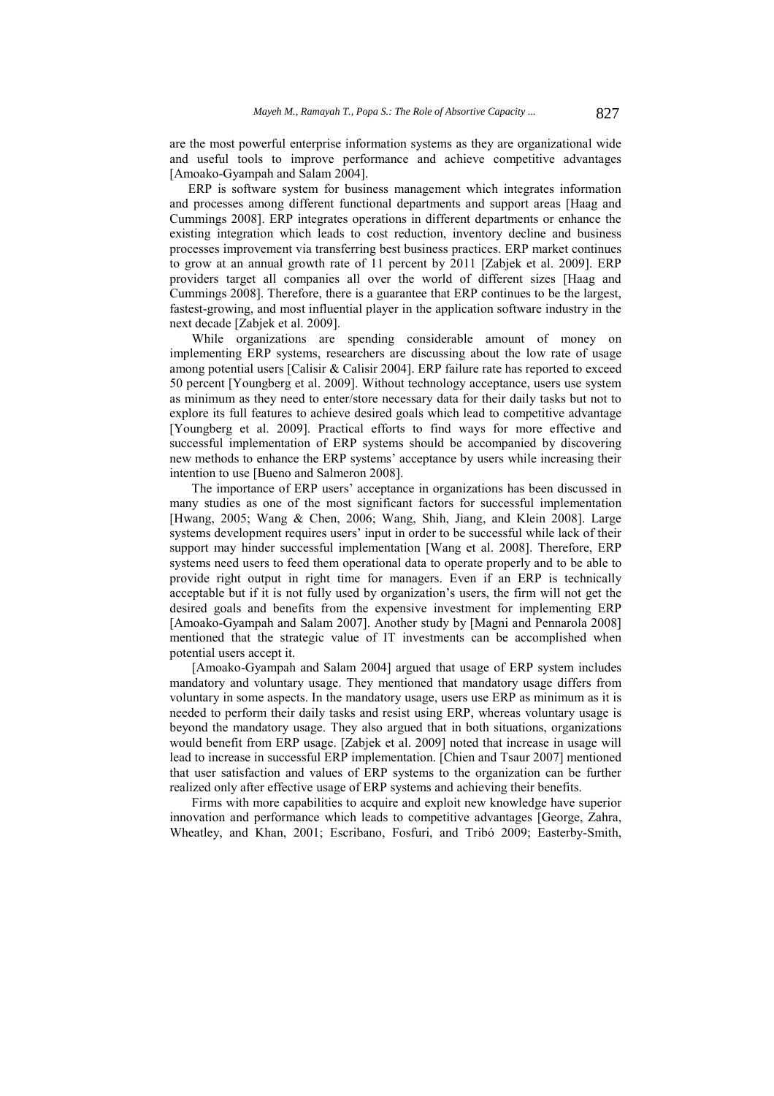are the most powerful enterprise information systems as they are organizational wide and useful tools to improve performance and achieve competitive advantages [Amoako-Gyampah and Salam 2004].

ERP is software system for business management which integrates information and processes among different functional departments and support areas [Haag and Cummings 2008]. ERP integrates operations in different departments or enhance the existing integration which leads to cost reduction, inventory decline and business processes improvement via transferring best business practices. ERP market continues to grow at an annual growth rate of 11 percent by 2011 [Zabjek et al. 2009]. ERP providers target all companies all over the world of different sizes [Haag and Cummings 2008]. Therefore, there is a guarantee that ERP continues to be the largest, fastest-growing, and most influential player in the application software industry in the next decade [Zabjek et al. 2009].

While organizations are spending considerable amount of money on implementing ERP systems, researchers are discussing about the low rate of usage among potential users [Calisir & Calisir 2004]. ERP failure rate has reported to exceed 50 percent [Youngberg et al. 2009]. Without technology acceptance, users use system as minimum as they need to enter/store necessary data for their daily tasks but not to explore its full features to achieve desired goals which lead to competitive advantage [Youngberg et al. 2009]. Practical efforts to find ways for more effective and successful implementation of ERP systems should be accompanied by discovering new methods to enhance the ERP systems' acceptance by users while increasing their intention to use [Bueno and Salmeron 2008].

The importance of ERP users' acceptance in organizations has been discussed in many studies as one of the most significant factors for successful implementation [Hwang, 2005; Wang & Chen, 2006; Wang, Shih, Jiang, and Klein 2008]. Large systems development requires users' input in order to be successful while lack of their support may hinder successful implementation [Wang et al. 2008]. Therefore, ERP systems need users to feed them operational data to operate properly and to be able to provide right output in right time for managers. Even if an ERP is technically acceptable but if it is not fully used by organization's users, the firm will not get the desired goals and benefits from the expensive investment for implementing ERP [Amoako-Gyampah and Salam 2007]. Another study by [Magni and Pennarola 2008] mentioned that the strategic value of IT investments can be accomplished when potential users accept it.

[Amoako-Gyampah and Salam 2004] argued that usage of ERP system includes mandatory and voluntary usage. They mentioned that mandatory usage differs from voluntary in some aspects. In the mandatory usage, users use ERP as minimum as it is needed to perform their daily tasks and resist using ERP, whereas voluntary usage is beyond the mandatory usage. They also argued that in both situations, organizations would benefit from ERP usage. [Zabjek et al. 2009] noted that increase in usage will lead to increase in successful ERP implementation. [Chien and Tsaur 2007] mentioned that user satisfaction and values of ERP systems to the organization can be further realized only after effective usage of ERP systems and achieving their benefits.

Firms with more capabilities to acquire and exploit new knowledge have superior innovation and performance which leads to competitive advantages [George, Zahra, Wheatley, and Khan, 2001; Escribano, Fosfuri, and Tribó 2009; Easterby-Smith,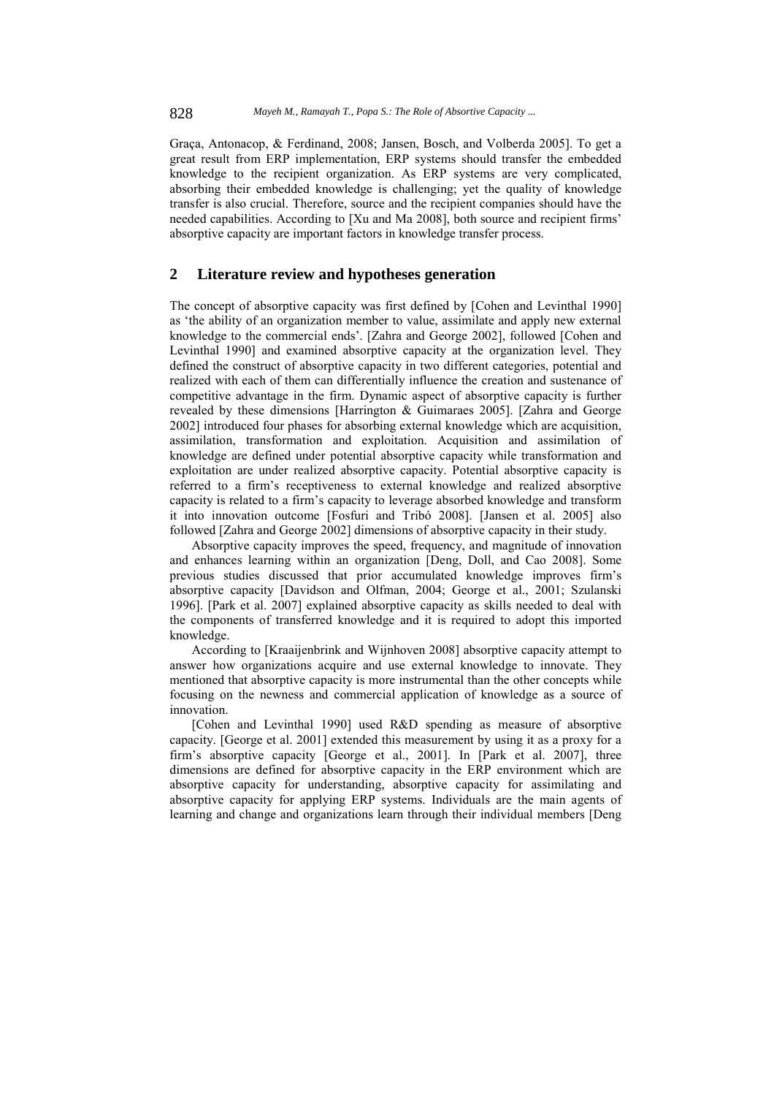Graça, Antonacop, & Ferdinand, 2008; Jansen, Bosch, and Volberda 2005]. To get a great result from ERP implementation, ERP systems should transfer the embedded knowledge to the recipient organization. As ERP systems are very complicated, absorbing their embedded knowledge is challenging; yet the quality of knowledge transfer is also crucial. Therefore, source and the recipient companies should have the needed capabilities. According to [Xu and Ma 2008], both source and recipient firms' absorptive capacity are important factors in knowledge transfer process.

### **2 Literature review and hypotheses generation**

The concept of absorptive capacity was first defined by [Cohen and Levinthal 1990] as 'the ability of an organization member to value, assimilate and apply new external knowledge to the commercial ends'. [Zahra and George 2002], followed [Cohen and Levinthal 1990] and examined absorptive capacity at the organization level. They defined the construct of absorptive capacity in two different categories, potential and realized with each of them can differentially influence the creation and sustenance of competitive advantage in the firm. Dynamic aspect of absorptive capacity is further revealed by these dimensions [Harrington & Guimaraes 2005]. [Zahra and George 2002] introduced four phases for absorbing external knowledge which are acquisition, assimilation, transformation and exploitation. Acquisition and assimilation of knowledge are defined under potential absorptive capacity while transformation and exploitation are under realized absorptive capacity. Potential absorptive capacity is referred to a firm's receptiveness to external knowledge and realized absorptive capacity is related to a firm's capacity to leverage absorbed knowledge and transform it into innovation outcome [Fosfuri and Tribó 2008]. [Jansen et al. 2005] also followed [Zahra and George 2002] dimensions of absorptive capacity in their study.

Absorptive capacity improves the speed, frequency, and magnitude of innovation and enhances learning within an organization [Deng, Doll, and Cao 2008]. Some previous studies discussed that prior accumulated knowledge improves firm's absorptive capacity [Davidson and Olfman, 2004; George et al., 2001; Szulanski 1996]. [Park et al. 2007] explained absorptive capacity as skills needed to deal with the components of transferred knowledge and it is required to adopt this imported knowledge.

According to [Kraaijenbrink and Wijnhoven 2008] absorptive capacity attempt to answer how organizations acquire and use external knowledge to innovate. They mentioned that absorptive capacity is more instrumental than the other concepts while focusing on the newness and commercial application of knowledge as a source of innovation.

[Cohen and Levinthal 1990] used R&D spending as measure of absorptive capacity. [George et al. 2001] extended this measurement by using it as a proxy for a firm's absorptive capacity [George et al., 2001]. In [Park et al. 2007], three dimensions are defined for absorptive capacity in the ERP environment which are absorptive capacity for understanding, absorptive capacity for assimilating and absorptive capacity for applying ERP systems. Individuals are the main agents of learning and change and organizations learn through their individual members [Deng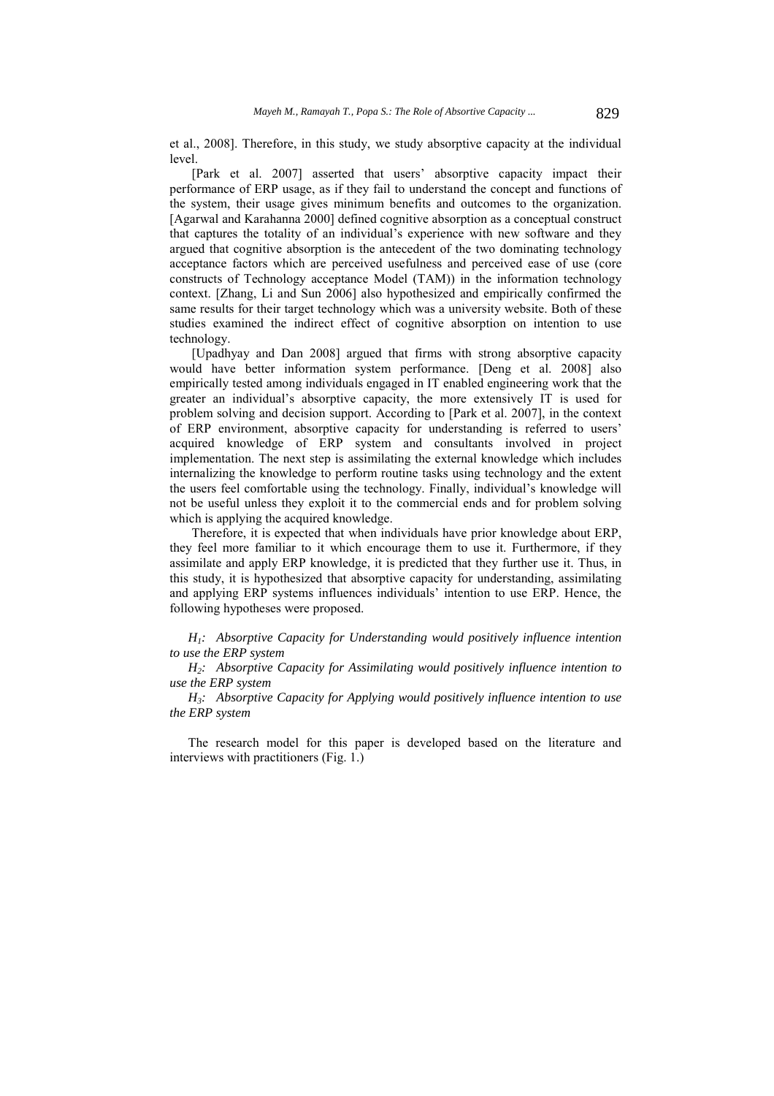et al., 2008]. Therefore, in this study, we study absorptive capacity at the individual level.

[Park et al. 2007] asserted that users' absorptive capacity impact their performance of ERP usage, as if they fail to understand the concept and functions of the system, their usage gives minimum benefits and outcomes to the organization. [Agarwal and Karahanna 2000] defined cognitive absorption as a conceptual construct that captures the totality of an individual's experience with new software and they argued that cognitive absorption is the antecedent of the two dominating technology acceptance factors which are perceived usefulness and perceived ease of use (core constructs of Technology acceptance Model (TAM)) in the information technology context. [Zhang, Li and Sun 2006] also hypothesized and empirically confirmed the same results for their target technology which was a university website. Both of these studies examined the indirect effect of cognitive absorption on intention to use technology.

[Upadhyay and Dan 2008] argued that firms with strong absorptive capacity would have better information system performance. [Deng et al. 2008] also empirically tested among individuals engaged in IT enabled engineering work that the greater an individual's absorptive capacity, the more extensively IT is used for problem solving and decision support. According to [Park et al. 2007], in the context of ERP environment, absorptive capacity for understanding is referred to users' acquired knowledge of ERP system and consultants involved in project implementation. The next step is assimilating the external knowledge which includes internalizing the knowledge to perform routine tasks using technology and the extent the users feel comfortable using the technology. Finally, individual's knowledge will not be useful unless they exploit it to the commercial ends and for problem solving which is applying the acquired knowledge.

Therefore, it is expected that when individuals have prior knowledge about ERP, they feel more familiar to it which encourage them to use it. Furthermore, if they assimilate and apply ERP knowledge, it is predicted that they further use it. Thus, in this study, it is hypothesized that absorptive capacity for understanding, assimilating and applying ERP systems influences individuals' intention to use ERP. Hence, the following hypotheses were proposed.

*H1: Absorptive Capacity for Understanding would positively influence intention to use the ERP system* 

*H2: Absorptive Capacity for Assimilating would positively influence intention to use the ERP system* 

*H3: Absorptive Capacity for Applying would positively influence intention to use the ERP system* 

The research model for this paper is developed based on the literature and interviews with practitioners (Fig. 1.)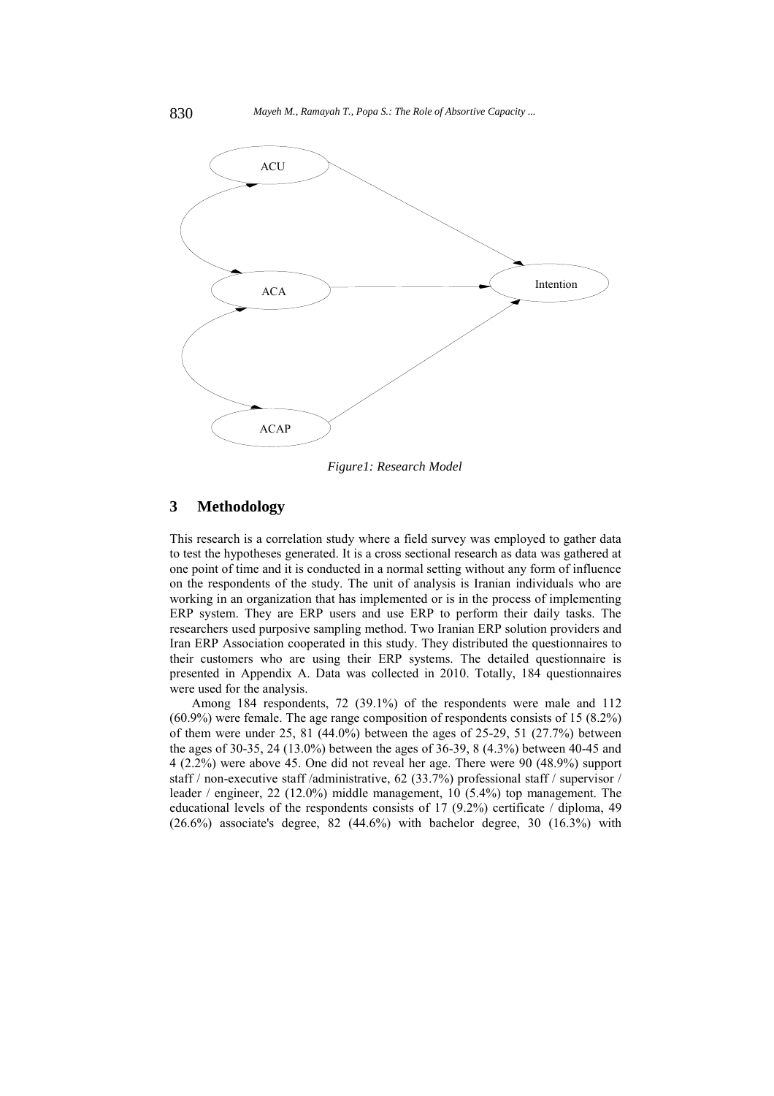

*Figure1: Research Model* 

## **3 Methodology**

This research is a correlation study where a field survey was employed to gather data to test the hypotheses generated. It is a cross sectional research as data was gathered at one point of time and it is conducted in a normal setting without any form of influence on the respondents of the study. The unit of analysis is Iranian individuals who are working in an organization that has implemented or is in the process of implementing ERP system. They are ERP users and use ERP to perform their daily tasks. The researchers used purposive sampling method. Two Iranian ERP solution providers and Iran ERP Association cooperated in this study. They distributed the questionnaires to their customers who are using their ERP systems. The detailed questionnaire is presented in Appendix A. Data was collected in 2010. Totally, 184 questionnaires were used for the analysis.

Among 184 respondents, 72 (39.1%) of the respondents were male and 112 (60.9%) were female. The age range composition of respondents consists of 15 (8.2%) of them were under 25, 81 (44.0%) between the ages of 25-29, 51 (27.7%) between the ages of 30-35, 24 (13.0%) between the ages of 36-39, 8 (4.3%) between 40-45 and 4 (2.2%) were above 45. One did not reveal her age. There were 90 (48.9%) support staff / non-executive staff /administrative, 62 (33.7%) professional staff / supervisor / leader / engineer, 22 (12.0%) middle management, 10 (5.4%) top management. The educational levels of the respondents consists of 17 (9.2%) certificate / diploma, 49  $(26.6\%)$  associate's degree, 82  $(44.6\%)$  with bachelor degree, 30  $(16.3\%)$  with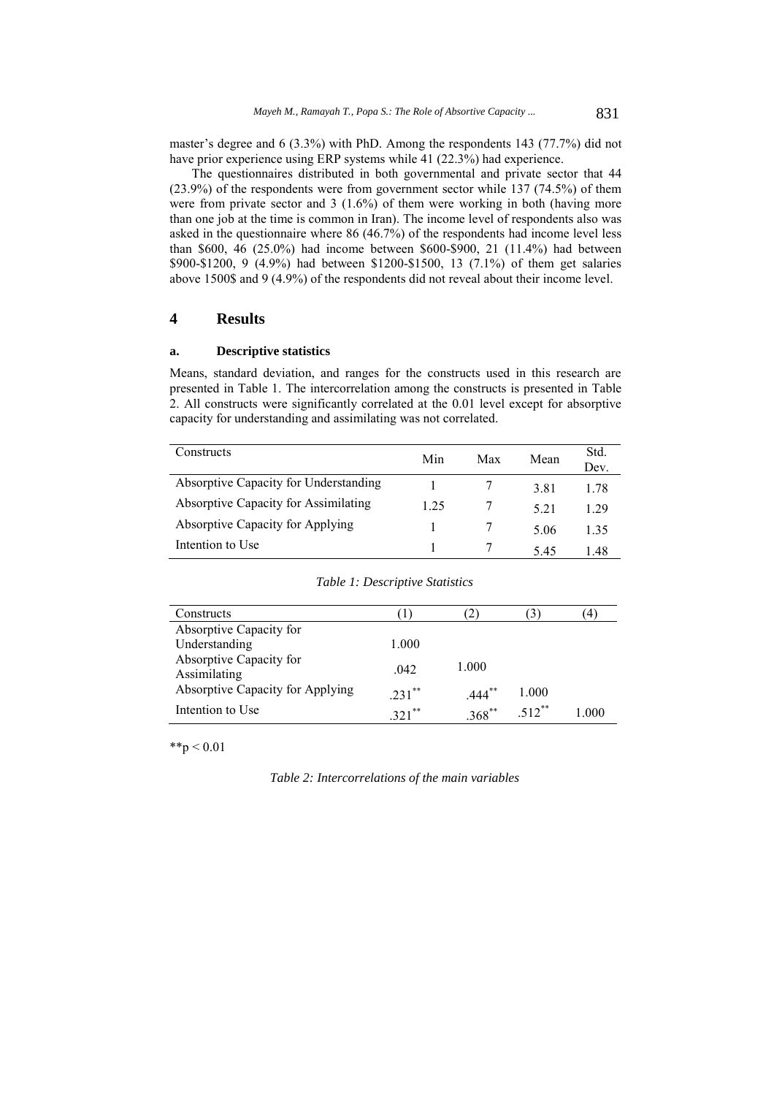master's degree and 6 (3.3%) with PhD. Among the respondents 143 (77.7%) did not have prior experience using ERP systems while 41 (22.3%) had experience.

The questionnaires distributed in both governmental and private sector that 44 (23.9%) of the respondents were from government sector while 137 (74.5%) of them were from private sector and 3 (1.6%) of them were working in both (having more than one job at the time is common in Iran). The income level of respondents also was asked in the questionnaire where 86 (46.7%) of the respondents had income level less than \$600, 46 (25.0%) had income between \$600-\$900, 21 (11.4%) had between \$900-\$1200, 9 (4.9%) had between \$1200-\$1500, 13 (7.1%) of them get salaries above 1500\$ and 9 (4.9%) of the respondents did not reveal about their income level.

## **4 Results**

### **a. Descriptive statistics**

Means, standard deviation, and ranges for the constructs used in this research are presented in Table 1. The intercorrelation among the constructs is presented in Table 2. All constructs were significantly correlated at the 0.01 level except for absorptive capacity for understanding and assimilating was not correlated.

| Constructs                                  | Min  | Max | Mean | Std.<br>Dev. |
|---------------------------------------------|------|-----|------|--------------|
| Absorptive Capacity for Understanding       |      |     | 3.81 | 178          |
| <b>Absorptive Capacity for Assimilating</b> | 1.25 |     | 5.21 | 1 29         |
| Absorptive Capacity for Applying            |      |     | 5.06 | 135          |
| Intention to Use                            |      |     | 5.45 | 1 48         |

| Constructs                       | H        | 21          | $\mathfrak{I}$      | $\left(4\right)$ |
|----------------------------------|----------|-------------|---------------------|------------------|
| Absorptive Capacity for          |          |             |                     |                  |
| Understanding                    | 1.000    |             |                     |                  |
| Absorptive Capacity for          |          | 1.000       |                     |                  |
| Assimilating                     | .042     |             |                     |                  |
| Absorptive Capacity for Applying | $231$ ** | $444$ **    | 1.000               |                  |
| Intention to Use                 | $321$ ** | $.368^{**}$ | $512$ <sup>**</sup> | 1.000            |

*Table 1: Descriptive Statistics* 

 $*$  $p$  < 0.01

*Table 2: Intercorrelations of the main variables*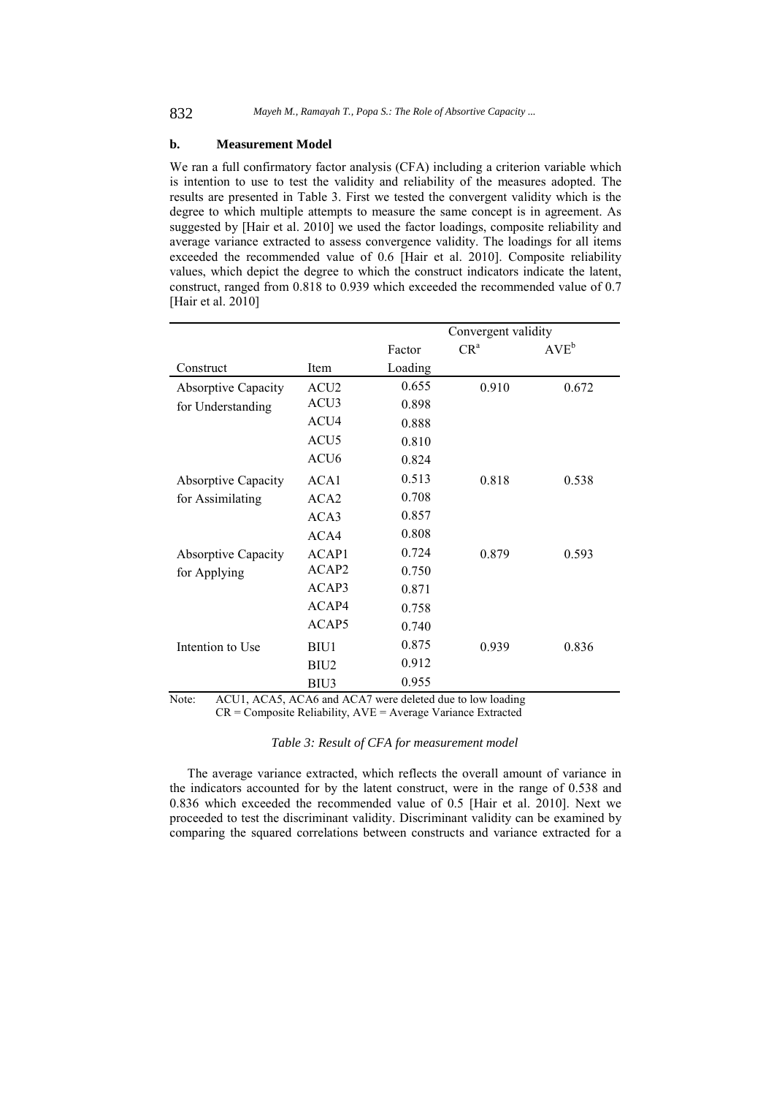### **b. Measurement Model**

We ran a full confirmatory factor analysis (CFA) including a criterion variable which is intention to use to test the validity and reliability of the measures adopted. The results are presented in Table 3. First we tested the convergent validity which is the degree to which multiple attempts to measure the same concept is in agreement. As suggested by [Hair et al. 2010] we used the factor loadings, composite reliability and average variance extracted to assess convergence validity. The loadings for all items exceeded the recommended value of 0.6 [Hair et al. 2010]. Composite reliability values, which depict the degree to which the construct indicators indicate the latent, construct, ranged from 0.818 to 0.939 which exceeded the recommended value of 0.7 [Hair et al. 2010]

|                            |                   |         | Convergent validity |           |  |  |
|----------------------------|-------------------|---------|---------------------|-----------|--|--|
|                            |                   | Factor  | $CR^a$              | $AVE^{b}$ |  |  |
| Construct                  | Item              | Loading |                     |           |  |  |
| <b>Absorptive Capacity</b> | ACU <sub>2</sub>  | 0.655   | 0.910               | 0.672     |  |  |
| for Understanding          | ACU3              | 0.898   |                     |           |  |  |
|                            | ACU4              | 0.888   |                     |           |  |  |
|                            | ACU <sub>5</sub>  | 0.810   |                     |           |  |  |
|                            | ACU <sub>6</sub>  | 0.824   |                     |           |  |  |
| <b>Absorptive Capacity</b> | ACA1              | 0.513   | 0.818               | 0.538     |  |  |
| for Assimilating           | ACA <sub>2</sub>  | 0.708   |                     |           |  |  |
|                            | ACA3              | 0.857   |                     |           |  |  |
|                            | ACA4              | 0.808   |                     |           |  |  |
| <b>Absorptive Capacity</b> | ACAP1             | 0.724   | 0.879               | 0.593     |  |  |
| for Applying               | ACAP2             | 0.750   |                     |           |  |  |
|                            | ACAP3             | 0.871   |                     |           |  |  |
|                            | ACAP4             | 0.758   |                     |           |  |  |
|                            | ACAP <sub>5</sub> | 0.740   |                     |           |  |  |
| Intention to Use           | BIU1              | 0.875   | 0.939               | 0.836     |  |  |
|                            | BIU <sub>2</sub>  | 0.912   |                     |           |  |  |
|                            | BIU3              | 0.955   |                     |           |  |  |

Note: ACU1, ACA5, ACA6 and ACA7 were deleted due to low loading CR = Composite Reliability, AVE = Average Variance Extracted

*Table 3: Result of CFA for measurement model* 

The average variance extracted, which reflects the overall amount of variance in the indicators accounted for by the latent construct, were in the range of 0.538 and 0.836 which exceeded the recommended value of 0.5 [Hair et al. 2010]. Next we proceeded to test the discriminant validity. Discriminant validity can be examined by comparing the squared correlations between constructs and variance extracted for a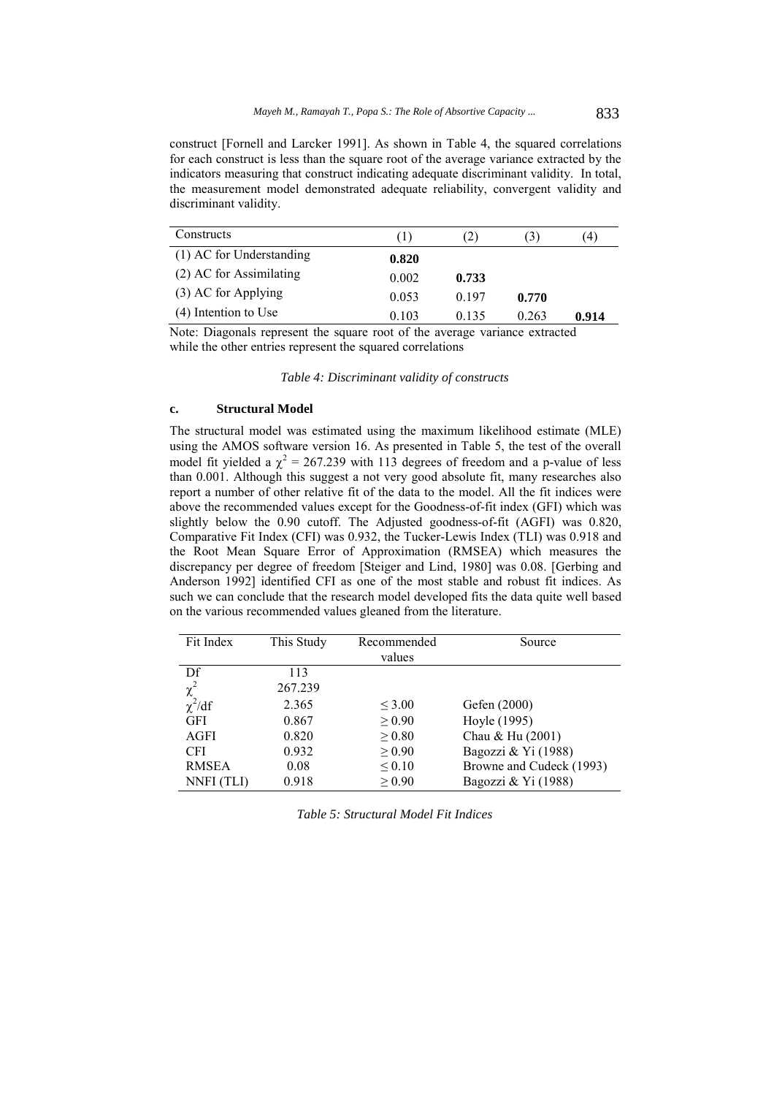construct [Fornell and Larcker 1991]. As shown in Table 4, the squared correlations for each construct is less than the square root of the average variance extracted by the indicators measuring that construct indicating adequate discriminant validity. In total, the measurement model demonstrated adequate reliability, convergent validity and discriminant validity.

| Constructs               | (1)   | (2)   | (3)   | (4)   |
|--------------------------|-------|-------|-------|-------|
| (1) AC for Understanding | 0.820 |       |       |       |
| (2) AC for Assimilating  | 0.002 | 0.733 |       |       |
| (3) AC for Applying      | 0.053 | 0.197 | 0.770 |       |
| (4) Intention to Use     | 0.103 | 0.135 | 0.263 | 0.914 |

Note: Diagonals represent the square root of the average variance extracted while the other entries represent the squared correlations

*Table 4: Discriminant validity of constructs* 

#### **c. Structural Model**

The structural model was estimated using the maximum likelihood estimate (MLE) using the AMOS software version 16. As presented in Table 5, the test of the overall model fit yielded a  $\chi^2$  = 267.239 with 113 degrees of freedom and a p-value of less than 0.001. Although this suggest a not very good absolute fit, many researches also report a number of other relative fit of the data to the model. All the fit indices were above the recommended values except for the Goodness-of-fit index (GFI) which was slightly below the 0.90 cutoff. The Adjusted goodness-of-fit (AGFI) was 0.820, Comparative Fit Index (CFI) was 0.932, the Tucker-Lewis Index (TLI) was 0.918 and the Root Mean Square Error of Approximation (RMSEA) which measures the discrepancy per degree of freedom [Steiger and Lind, 1980] was 0.08. [Gerbing and Anderson 1992] identified CFI as one of the most stable and robust fit indices. As such we can conclude that the research model developed fits the data quite well based on the various recommended values gleaned from the literature.

| Fit Index    | This Study | Recommended | Source                   |
|--------------|------------|-------------|--------------------------|
|              |            | values      |                          |
| Df           | 113        |             |                          |
| $\chi^2$     | 267.239    |             |                          |
| $\chi^2/df$  | 2.365      | $\leq 3.00$ | Gefen (2000)             |
| <b>GFI</b>   | 0.867      | > 0.90      | Hoyle (1995)             |
| <b>AGFI</b>  | 0.820      | > 0.80      | Chau & Hu (2001)         |
| <b>CFI</b>   | 0.932      | > 0.90      | Bagozzi & Yi (1988)      |
| <b>RMSEA</b> | 0.08       | $\leq 0.10$ | Browne and Cudeck (1993) |
| NNFI (TLI)   | 0.918      | $\geq 0.90$ | Bagozzi & Yi (1988)      |

*Table 5: Structural Model Fit Indices*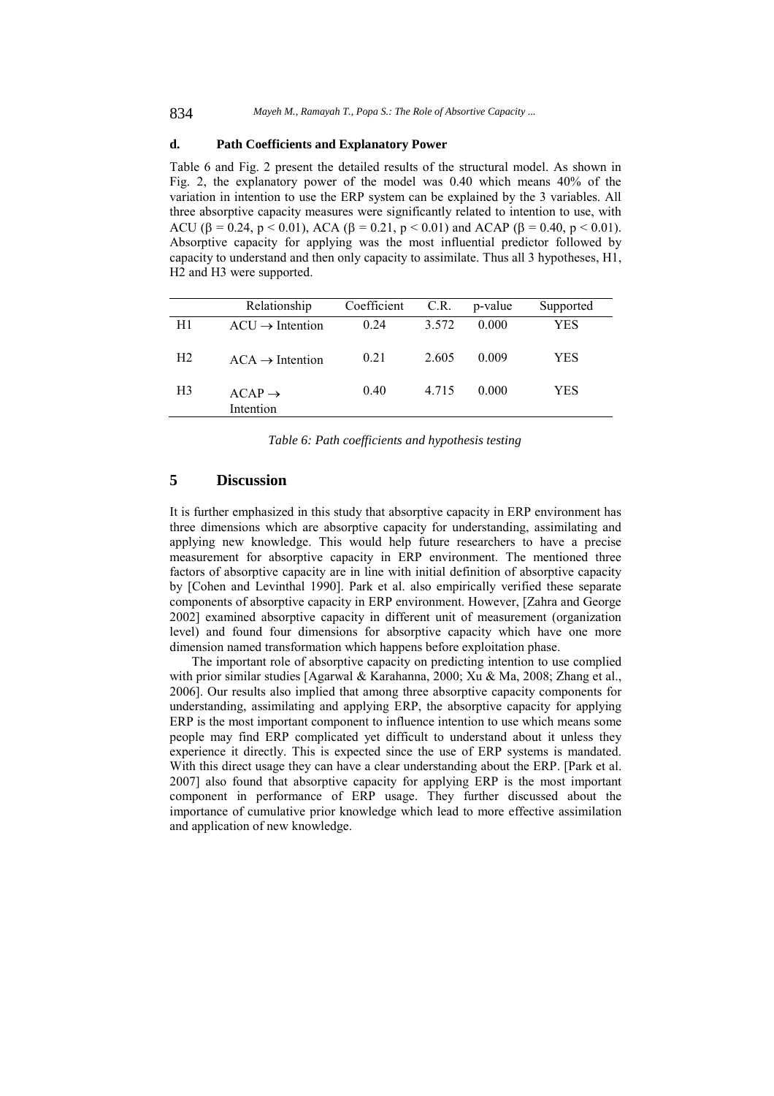## **d. Path Coefficients and Explanatory Power**

Table 6 and Fig. 2 present the detailed results of the structural model. As shown in Fig. 2, the explanatory power of the model was 0.40 which means 40% of the variation in intention to use the ERP system can be explained by the 3 variables. All three absorptive capacity measures were significantly related to intention to use, with ACU ( $\beta$  = 0.24, p < 0.01), ACA ( $\beta$  = 0.21, p < 0.01) and ACAP ( $\beta$  = 0.40, p < 0.01). Absorptive capacity for applying was the most influential predictor followed by capacity to understand and then only capacity to assimilate. Thus all 3 hypotheses, H1, H2 and H3 were supported.

|                | Relationship                    | Coefficient | C.R.    | p-value | Supported  |
|----------------|---------------------------------|-------------|---------|---------|------------|
| H1             | $ACU \rightarrow Intention$     | 0.24        | 3.572   | 0.000   | <b>YES</b> |
| H <sub>2</sub> | $ACA \rightarrow Intention$     | 0.21        | 2.605   | 0.009   | <b>YES</b> |
| H <sub>3</sub> | $ACAP \rightarrow$<br>Intention | 0.40        | 4 7 1 5 | 0.000   | YES        |

*Table 6: Path coefficients and hypothesis testing* 

## **5 Discussion**

It is further emphasized in this study that absorptive capacity in ERP environment has three dimensions which are absorptive capacity for understanding, assimilating and applying new knowledge. This would help future researchers to have a precise measurement for absorptive capacity in ERP environment. The mentioned three factors of absorptive capacity are in line with initial definition of absorptive capacity by [Cohen and Levinthal 1990]. Park et al. also empirically verified these separate components of absorptive capacity in ERP environment. However, [Zahra and George 2002] examined absorptive capacity in different unit of measurement (organization level) and found four dimensions for absorptive capacity which have one more dimension named transformation which happens before exploitation phase.

The important role of absorptive capacity on predicting intention to use complied with prior similar studies [Agarwal & Karahanna, 2000; Xu & Ma, 2008; Zhang et al., 2006]. Our results also implied that among three absorptive capacity components for understanding, assimilating and applying ERP, the absorptive capacity for applying ERP is the most important component to influence intention to use which means some people may find ERP complicated yet difficult to understand about it unless they experience it directly. This is expected since the use of ERP systems is mandated. With this direct usage they can have a clear understanding about the ERP. [Park et al. 2007] also found that absorptive capacity for applying ERP is the most important component in performance of ERP usage. They further discussed about the importance of cumulative prior knowledge which lead to more effective assimilation and application of new knowledge.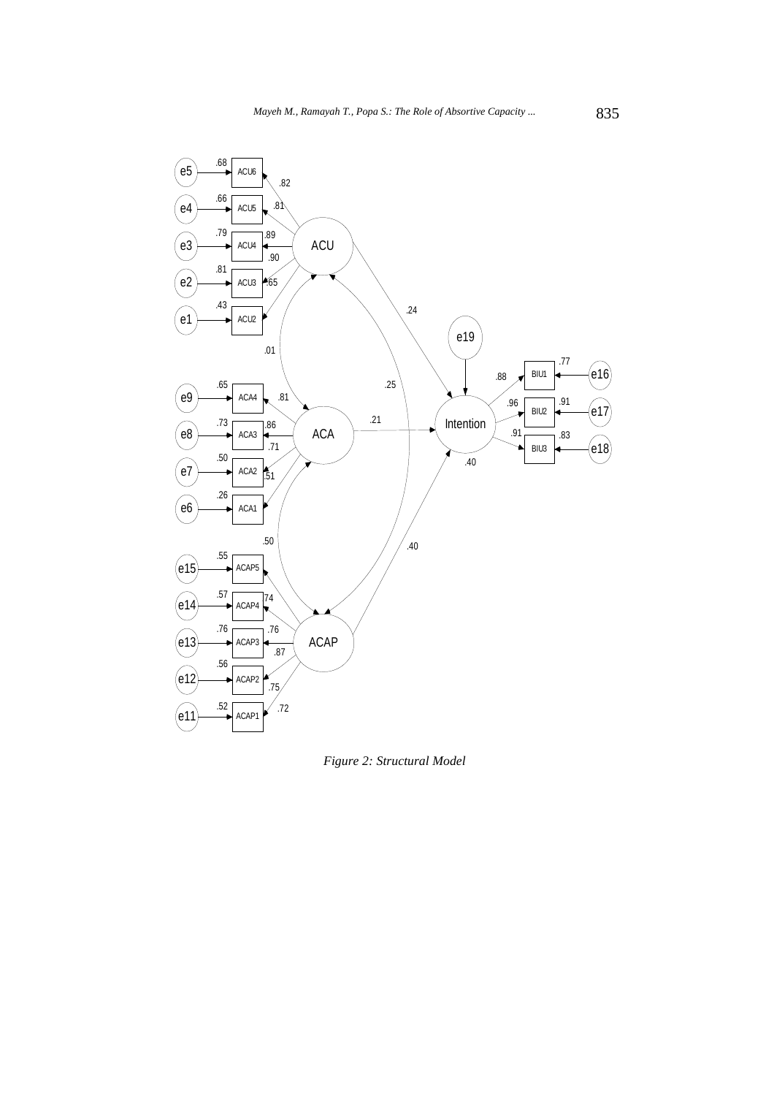

*Figure 2: Structural Model*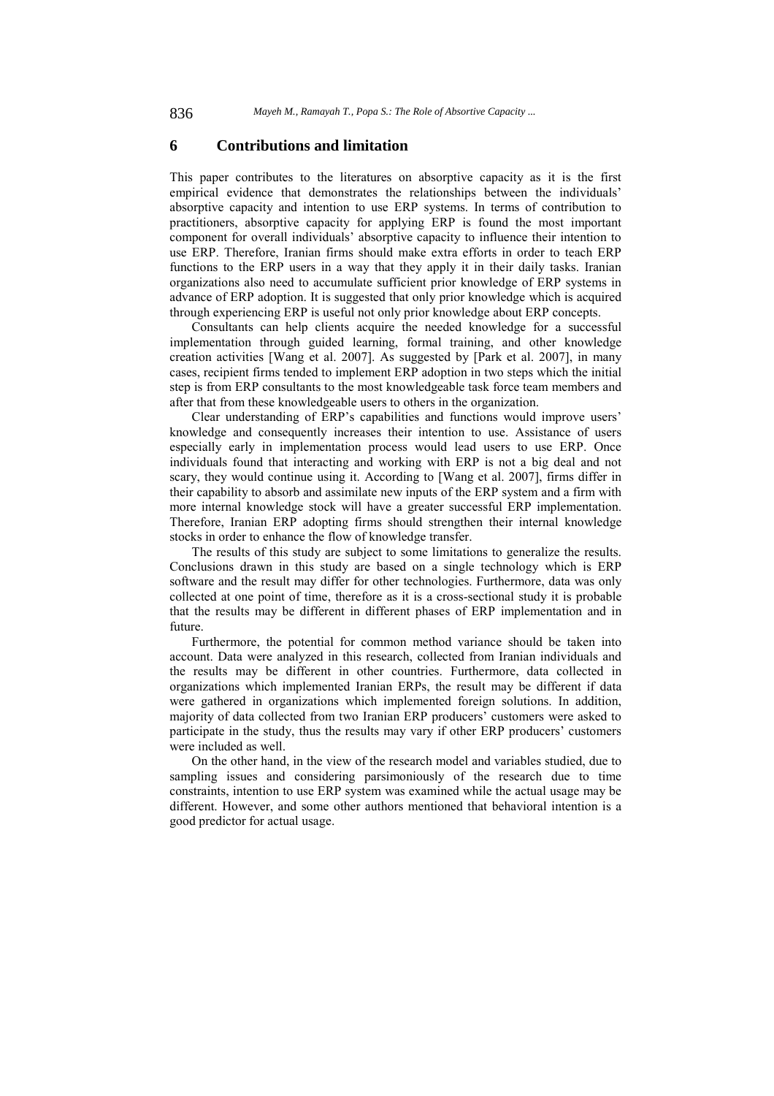## **6 Contributions and limitation**

This paper contributes to the literatures on absorptive capacity as it is the first empirical evidence that demonstrates the relationships between the individuals' absorptive capacity and intention to use ERP systems. In terms of contribution to practitioners, absorptive capacity for applying ERP is found the most important component for overall individuals' absorptive capacity to influence their intention to use ERP. Therefore, Iranian firms should make extra efforts in order to teach ERP functions to the ERP users in a way that they apply it in their daily tasks. Iranian organizations also need to accumulate sufficient prior knowledge of ERP systems in advance of ERP adoption. It is suggested that only prior knowledge which is acquired through experiencing ERP is useful not only prior knowledge about ERP concepts.

Consultants can help clients acquire the needed knowledge for a successful implementation through guided learning, formal training, and other knowledge creation activities [Wang et al. 2007]. As suggested by [Park et al. 2007], in many cases, recipient firms tended to implement ERP adoption in two steps which the initial step is from ERP consultants to the most knowledgeable task force team members and after that from these knowledgeable users to others in the organization.

Clear understanding of ERP's capabilities and functions would improve users' knowledge and consequently increases their intention to use. Assistance of users especially early in implementation process would lead users to use ERP. Once individuals found that interacting and working with ERP is not a big deal and not scary, they would continue using it. According to [Wang et al. 2007], firms differ in their capability to absorb and assimilate new inputs of the ERP system and a firm with more internal knowledge stock will have a greater successful ERP implementation. Therefore, Iranian ERP adopting firms should strengthen their internal knowledge stocks in order to enhance the flow of knowledge transfer.

The results of this study are subject to some limitations to generalize the results. Conclusions drawn in this study are based on a single technology which is ERP software and the result may differ for other technologies. Furthermore, data was only collected at one point of time, therefore as it is a cross-sectional study it is probable that the results may be different in different phases of ERP implementation and in future.

Furthermore, the potential for common method variance should be taken into account. Data were analyzed in this research, collected from Iranian individuals and the results may be different in other countries. Furthermore, data collected in organizations which implemented Iranian ERPs, the result may be different if data were gathered in organizations which implemented foreign solutions. In addition, majority of data collected from two Iranian ERP producers' customers were asked to participate in the study, thus the results may vary if other ERP producers' customers were included as well.

On the other hand, in the view of the research model and variables studied, due to sampling issues and considering parsimoniously of the research due to time constraints, intention to use ERP system was examined while the actual usage may be different. However, and some other authors mentioned that behavioral intention is a good predictor for actual usage.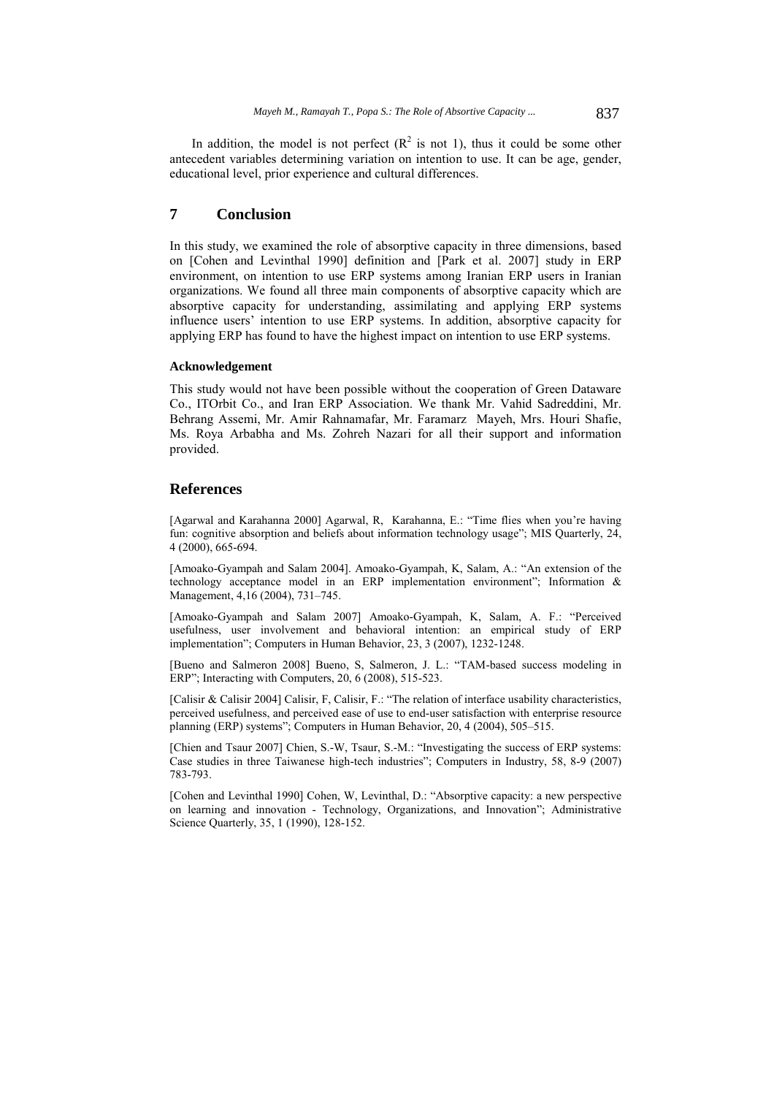In addition, the model is not perfect  $(R^2$  is not 1), thus it could be some other antecedent variables determining variation on intention to use. It can be age, gender, educational level, prior experience and cultural differences.

## **7 Conclusion**

In this study, we examined the role of absorptive capacity in three dimensions, based on [Cohen and Levinthal 1990] definition and [Park et al. 2007] study in ERP environment, on intention to use ERP systems among Iranian ERP users in Iranian organizations. We found all three main components of absorptive capacity which are absorptive capacity for understanding, assimilating and applying ERP systems influence users' intention to use ERP systems. In addition, absorptive capacity for applying ERP has found to have the highest impact on intention to use ERP systems.

### **Acknowledgement**

This study would not have been possible without the cooperation of Green Dataware Co., ITOrbit Co., and Iran ERP Association. We thank Mr. Vahid Sadreddini, Mr. Behrang Assemi, Mr. Amir Rahnamafar, Mr. Faramarz Mayeh, Mrs. Houri Shafie, Ms. Roya Arbabha and Ms. Zohreh Nazari for all their support and information provided.

### **References**

[Agarwal and Karahanna 2000] Agarwal, R, Karahanna, E.: "Time flies when you're having fun: cognitive absorption and beliefs about information technology usage"; MIS Quarterly, 24, 4 (2000), 665-694.

[Amoako-Gyampah and Salam 2004]. Amoako-Gyampah, K, Salam, A.: "An extension of the technology acceptance model in an ERP implementation environment"; Information & Management, 4,16 (2004), 731–745.

[Amoako-Gyampah and Salam 2007] Amoako-Gyampah, K, Salam, A. F.: "Perceived usefulness, user involvement and behavioral intention: an empirical study of ERP implementation"; Computers in Human Behavior, 23, 3 (2007), 1232-1248.

[Bueno and Salmeron 2008] Bueno, S, Salmeron, J. L.: "TAM-based success modeling in ERP"; Interacting with Computers, 20, 6 (2008), 515-523.

[Calisir & Calisir 2004] Calisir, F, Calisir, F.: "The relation of interface usability characteristics, perceived usefulness, and perceived ease of use to end-user satisfaction with enterprise resource planning (ERP) systems"; Computers in Human Behavior, 20, 4 (2004), 505–515.

[Chien and Tsaur 2007] Chien, S.-W, Tsaur, S.-M.: "Investigating the success of ERP systems: Case studies in three Taiwanese high-tech industries"; Computers in Industry, 58, 8-9 (2007) 783-793.

[Cohen and Levinthal 1990] Cohen, W, Levinthal, D.: "Absorptive capacity: a new perspective on learning and innovation - Technology, Organizations, and Innovation"; Administrative Science Quarterly, 35, 1 (1990), 128-152.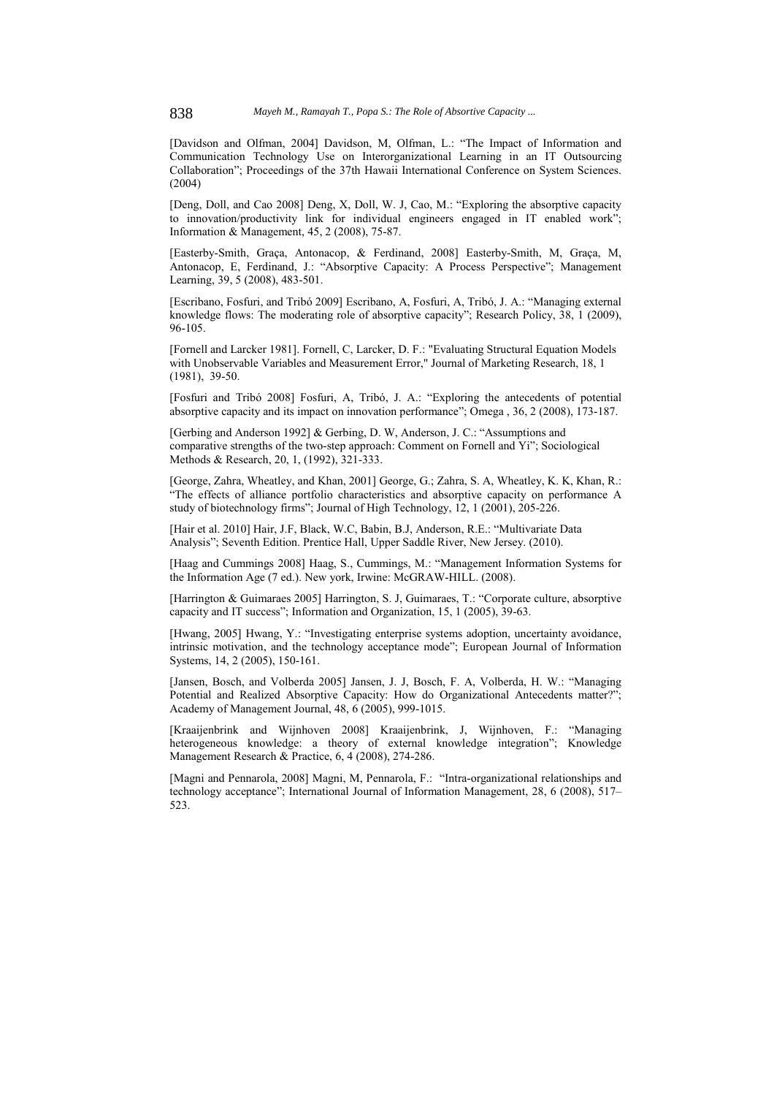[Davidson and Olfman, 2004] Davidson, M, Olfman, L.: "The Impact of Information and Communication Technology Use on Interorganizational Learning in an IT Outsourcing Collaboration"; Proceedings of the 37th Hawaii International Conference on System Sciences. (2004)

[Deng, Doll, and Cao 2008] Deng, X, Doll, W. J, Cao, M.: "Exploring the absorptive capacity to innovation/productivity link for individual engineers engaged in IT enabled work"; Information & Management, 45, 2 (2008), 75-87.

[Easterby-Smith, Graça, Antonacop, & Ferdinand, 2008] Easterby-Smith, M, Graça, M, Antonacop, E, Ferdinand, J.: "Absorptive Capacity: A Process Perspective"; Management Learning, 39, 5 (2008), 483-501.

[Escribano, Fosfuri, and Tribó 2009] Escribano, A, Fosfuri, A, Tribó, J. A.: "Managing external knowledge flows: The moderating role of absorptive capacity"; Research Policy, 38, 1 (2009), 96-105.

[Fornell and Larcker 1981]. Fornell, C, Larcker, D. F.: "Evaluating Structural Equation Models with Unobservable Variables and Measurement Error," Journal of Marketing Research, 18, 1 (1981), 39-50.

[Fosfuri and Tribó 2008] Fosfuri, A, Tribó, J. A.: "Exploring the antecedents of potential absorptive capacity and its impact on innovation performance"; Omega , 36, 2 (2008), 173-187.

[Gerbing and Anderson 1992] & Gerbing, D. W, Anderson, J. C.: "Assumptions and comparative strengths of the two-step approach: Comment on Fornell and Yi"; Sociological Methods & Research, 20, 1, (1992), 321-333.

[George, Zahra, Wheatley, and Khan, 2001] George, G.; Zahra, S. A, Wheatley, K. K, Khan, R.: "The effects of alliance portfolio characteristics and absorptive capacity on performance A study of biotechnology firms": Journal of High Technology,  $12, 1$  (2001), 205-226.

[Hair et al. 2010] Hair, J.F, Black, W.C, Babin, B.J, Anderson, R.E.: "Multivariate Data Analysis"; Seventh Edition. Prentice Hall, Upper Saddle River, New Jersey. (2010).

[Haag and Cummings 2008] Haag, S., Cummings, M.: "Management Information Systems for the Information Age (7 ed.). New york, Irwine: McGRAW-HILL. (2008).

[Harrington & Guimaraes 2005] Harrington, S. J, Guimaraes, T.: "Corporate culture, absorptive capacity and IT success"; Information and Organization, 15, 1 (2005), 39-63.

[Hwang, 2005] Hwang, Y.: "Investigating enterprise systems adoption, uncertainty avoidance, intrinsic motivation, and the technology acceptance mode"; European Journal of Information Systems, 14, 2 (2005), 150-161.

[Jansen, Bosch, and Volberda 2005] Jansen, J. J, Bosch, F. A, Volberda, H. W.: "Managing Potential and Realized Absorptive Capacity: How do Organizational Antecedents matter?"; Academy of Management Journal, 48, 6 (2005), 999-1015.

[Kraaijenbrink and Wijnhoven 2008] Kraaijenbrink, J, Wijnhoven, F.: "Managing heterogeneous knowledge: a theory of external knowledge integration"; Knowledge Management Research & Practice, 6, 4 (2008), 274-286.

[Magni and Pennarola, 2008] Magni, M, Pennarola, F.: "Intra-organizational relationships and technology acceptance"; International Journal of Information Management, 28, 6 (2008), 517– 523.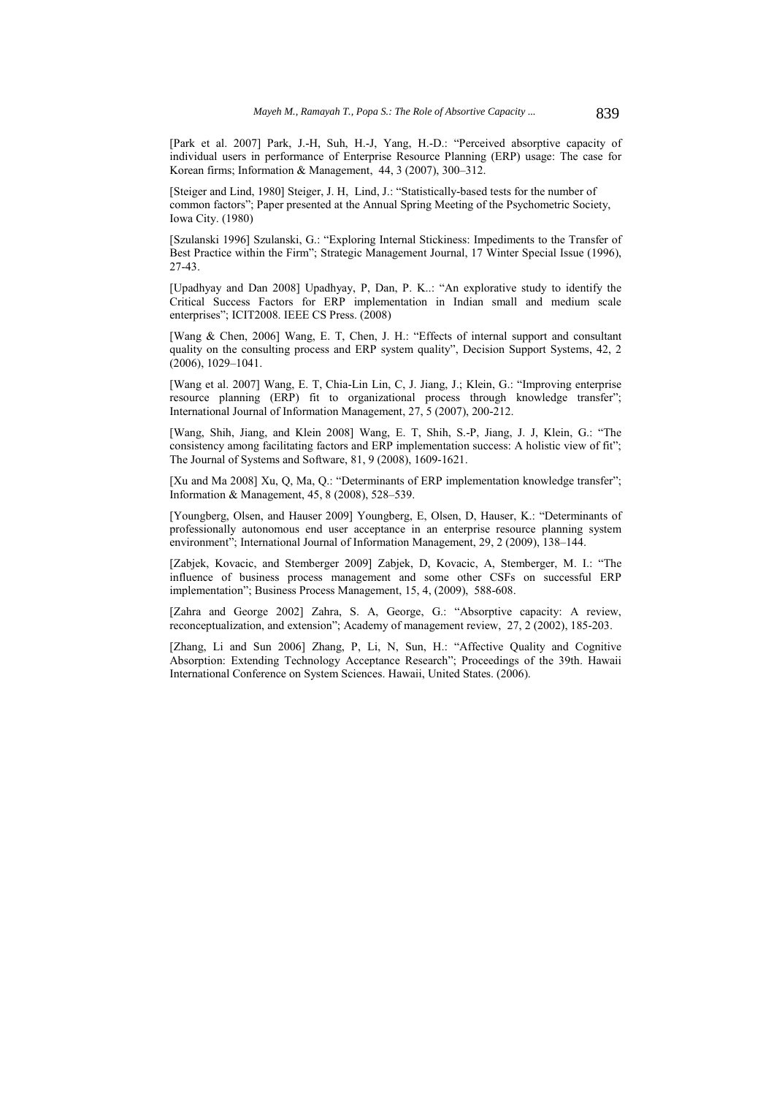[Park et al. 2007] Park, J.-H, Suh, H.-J, Yang, H.-D.: "Perceived absorptive capacity of individual users in performance of Enterprise Resource Planning (ERP) usage: The case for Korean firms; Information & Management, 44, 3 (2007), 300–312.

[Steiger and Lind, 1980] Steiger, J. H, Lind, J.: "Statistically-based tests for the number of common factors"; Paper presented at the Annual Spring Meeting of the Psychometric Society, Iowa City. (1980)

[Szulanski 1996] Szulanski, G.: "Exploring Internal Stickiness: Impediments to the Transfer of Best Practice within the Firm"; Strategic Management Journal, 17 Winter Special Issue (1996), 27-43.

[Upadhyay and Dan 2008] Upadhyay, P, Dan, P. K..: "An explorative study to identify the Critical Success Factors for ERP implementation in Indian small and medium scale enterprises"; ICIT2008. IEEE CS Press. (2008)

[Wang & Chen, 2006] Wang, E. T, Chen, J. H.: "Effects of internal support and consultant quality on the consulting process and ERP system quality", Decision Support Systems, 42, 2 (2006), 1029–1041.

[Wang et al. 2007] Wang, E. T, Chia-Lin Lin, C, J. Jiang, J.; Klein, G.: "Improving enterprise resource planning (ERP) fit to organizational process through knowledge transfer"; International Journal of Information Management, 27, 5 (2007), 200-212.

[Wang, Shih, Jiang, and Klein 2008] Wang, E. T, Shih, S.-P, Jiang, J. J, Klein, G.: "The consistency among facilitating factors and ERP implementation success: A holistic view of fit"; The Journal of Systems and Software, 81, 9 (2008), 1609-1621.

[Xu and Ma 2008] Xu, Q, Ma, Q.: "Determinants of ERP implementation knowledge transfer"; Information & Management, 45, 8 (2008), 528–539.

[Youngberg, Olsen, and Hauser 2009] Youngberg, E, Olsen, D, Hauser, K.: "Determinants of professionally autonomous end user acceptance in an enterprise resource planning system environment"; International Journal of Information Management, 29, 2 (2009), 138–144.

[Zabjek, Kovacic, and Stemberger 2009] Zabjek, D, Kovacic, A, Stemberger, M. I.: "The influence of business process management and some other CSFs on successful ERP implementation"; Business Process Management, 15, 4, (2009), 588-608.

[Zahra and George 2002] Zahra, S. A, George, G.: "Absorptive capacity: A review, reconceptualization, and extension"; Academy of management review, 27, 2 (2002), 185-203.

[Zhang, Li and Sun 2006] Zhang, P, Li, N, Sun, H.: "Affective Quality and Cognitive Absorption: Extending Technology Acceptance Research"; Proceedings of the 39th. Hawaii International Conference on System Sciences. Hawaii, United States. (2006).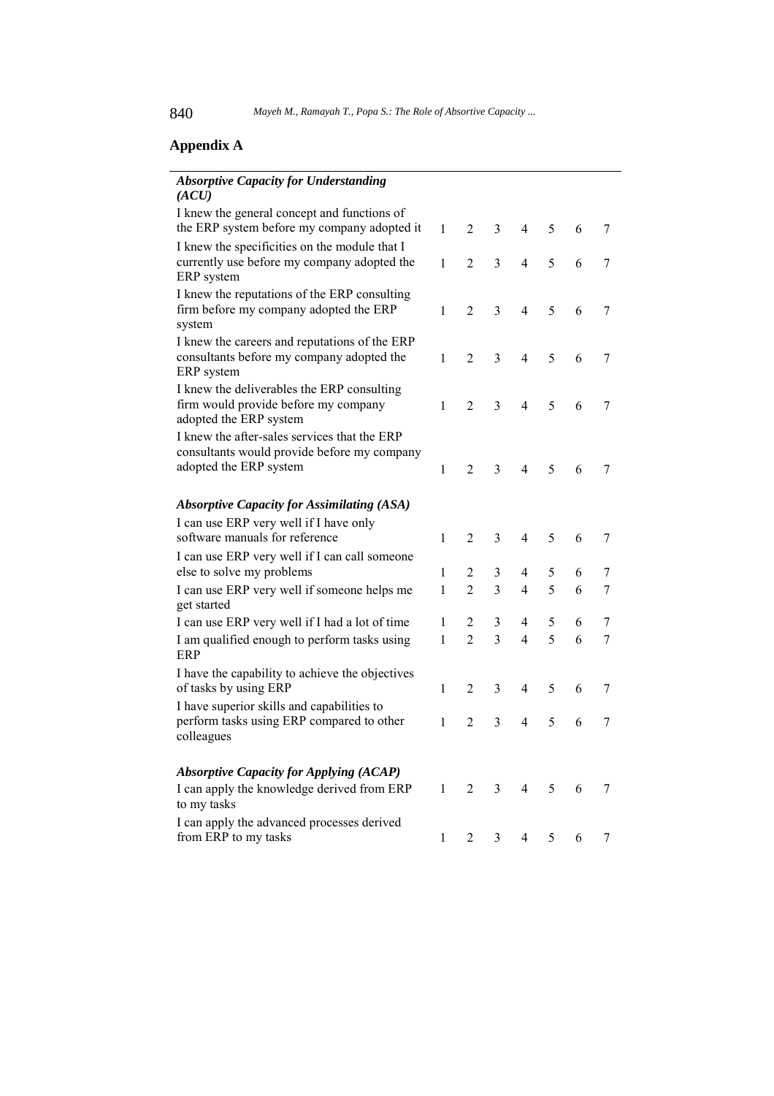# **Appendix A**

| <b>Absorptive Capacity for Understanding</b><br>(ACU)                                                                 |              |                |                |                |   |   |   |
|-----------------------------------------------------------------------------------------------------------------------|--------------|----------------|----------------|----------------|---|---|---|
| I knew the general concept and functions of<br>the ERP system before my company adopted it                            | $\mathbf{1}$ | $\overline{2}$ | 3              | 4              | 5 | 6 | 7 |
| I knew the specificities on the module that I<br>currently use before my company adopted the<br>ERP system            | 1            | $\overline{2}$ | 3              | $\overline{4}$ | 5 | 6 | 7 |
| I knew the reputations of the ERP consulting<br>firm before my company adopted the ERP<br>system                      | $\mathbf{1}$ | $\overline{2}$ | 3              | $\overline{4}$ | 5 | 6 | 7 |
| I knew the careers and reputations of the ERP<br>consultants before my company adopted the<br>ERP system              | $\mathbf{1}$ | 2              | 3              | $\overline{4}$ | 5 | 6 | 7 |
| I knew the deliverables the ERP consulting<br>firm would provide before my company<br>adopted the ERP system          | 1            | $\overline{2}$ | 3              | $\overline{4}$ | 5 | 6 | 7 |
| I knew the after-sales services that the ERP<br>consultants would provide before my company<br>adopted the ERP system | $\mathbf{1}$ | $\overline{2}$ | 3              | 4              | 5 | 6 | 7 |
|                                                                                                                       |              |                |                |                |   |   |   |
| <b>Absorptive Capacity for Assimilating (ASA)</b>                                                                     |              |                |                |                |   |   |   |
| I can use ERP very well if I have only                                                                                |              |                |                |                |   |   |   |
| software manuals for reference                                                                                        | $\mathbf{1}$ | $\overline{2}$ | 3              | 4              | 5 | 6 | 7 |
| I can use ERP very well if I can call someone<br>else to solve my problems                                            | 1            | 2              | 3              | 4              | 5 | 6 | 7 |
| I can use ERP very well if someone helps me<br>get started                                                            | 1            | $\overline{2}$ | 3              | $\overline{4}$ | 5 | 6 | 7 |
| I can use ERP very well if I had a lot of time                                                                        | 1            | 2              | 3              | 4              | 5 | 6 | 7 |
| I am qualified enough to perform tasks using<br>ERP                                                                   | $\mathbf{1}$ | $\overline{2}$ | 3              | 4              | 5 | 6 | 7 |
| I have the capability to achieve the objectives<br>of tasks by using ERP                                              | 1            | 2              | 3              | 4              | 5 | 6 | 7 |
| I have superior skills and capabilities to<br>perform tasks using ERP compared to other<br>colleagues                 | 1            | 2              | 3              | 4              | 5 | 6 | 7 |
| <b>Absorptive Capacity for Applying (ACAP)</b>                                                                        |              |                |                |                |   |   |   |
| I can apply the knowledge derived from ERP<br>to my tasks                                                             | $\mathbf{1}$ | $\overline{2}$ | 3              | 4              | 5 | 6 | 7 |
| I can apply the advanced processes derived<br>from ERP to my tasks                                                    | 1            | $\sqrt{2}$     | $\mathfrak{Z}$ | 4              | 5 | 6 | 7 |